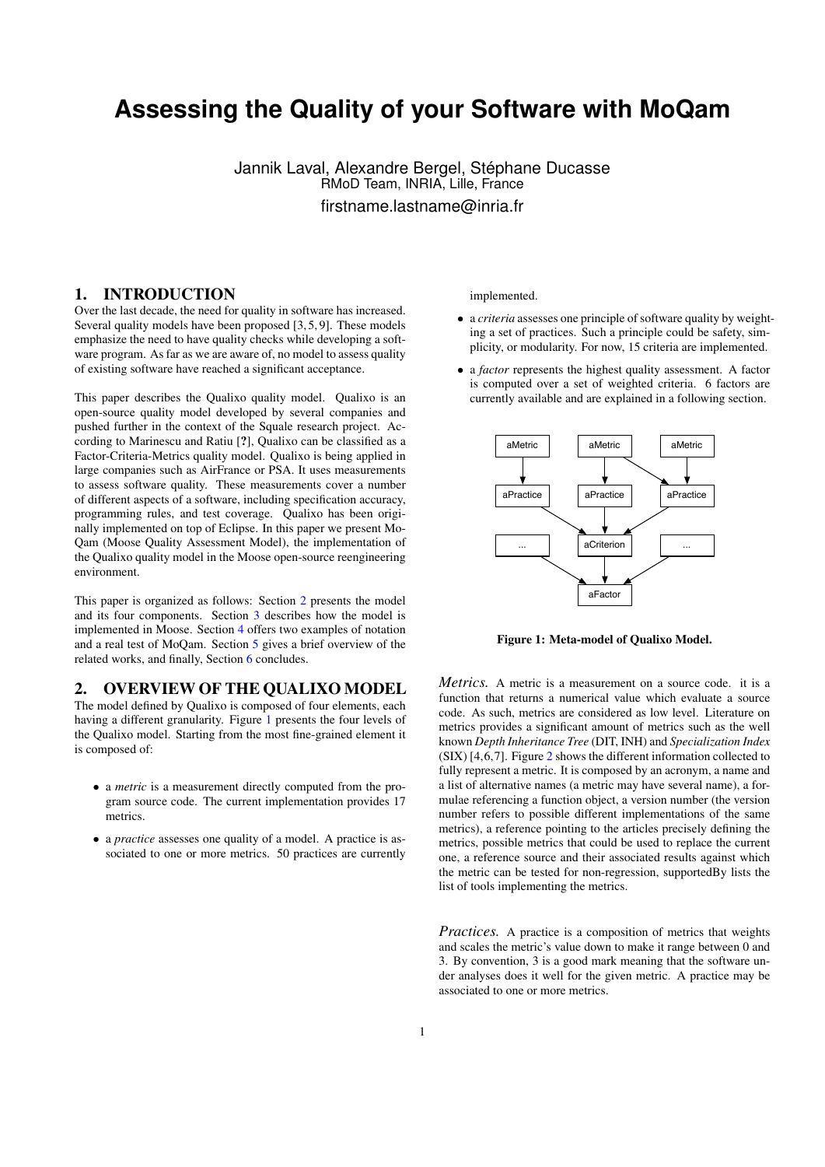# **Assessing the Quality of your Software with MoQam**

Jannik Laval, Alexandre Bergel, Stéphane Ducasse RMoD Team, INRIA, Lille, France firstname.lastname@inria.fr

# 1. INTRODUCTION

Over the last decade, the need for quality in software has increased. Several quality models have been proposed [3, 5, 9]. These models emphasize the need to have quality checks while developing a software program. As far as we are aware of, no model to assess quality of existing software have reached a significant acceptance.

This paper describes the Qualixo quality model. Qualixo is an open-source quality model developed by several companies and pushed further in the context of the Squale research project. According to Marinescu and Ratiu [?], Qualixo can be classified as a Factor-Criteria-Metrics quality model. Qualixo is being applied in large companies such as AirFrance or PSA. It uses measurements to assess software quality. These measurements cover a number of different aspects of a software, including specification accuracy, programming rules, and test coverage. Qualixo has been originally implemented on top of Eclipse. In this paper we present Mo-Qam (Moose Quality Assessment Model), the implementation of the Qualixo quality model in the Moose open-source reengineering environment.

This paper is organized as follows: Section [2](#page-0-0) presents the model and its four components. Section [3](#page-1-0) describes how the model is implemented in Moose. Section [4](#page-2-0) offers two examples of notation and a real test of MoQam. Section [5](#page-2-1) gives a brief overview of the related works, and finally, Section [6](#page-3-0) concludes.

# <span id="page-0-0"></span>2. OVERVIEW OF THE QUALIXO MODEL

The model defined by Qualixo is composed of four elements, each having a different granularity. Figure [1](#page-0-1) presents the four levels of the Qualixo model. Starting from the most fine-grained element it is composed of:

- a *metric* is a measurement directly computed from the program source code. The current implementation provides 17 metrics.
- a *practice* assesses one quality of a model. A practice is associated to one or more metrics. 50 practices are currently

implemented.

- a *criteria* assesses one principle of software quality by weighting a set of practices. Such a principle could be safety, simplicity, or modularity. For now, 15 criteria are implemented.
- a *factor* represents the highest quality assessment. A factor is computed over a set of weighted criteria. 6 factors are currently available and are explained in a following section.



<span id="page-0-1"></span>Figure 1: Meta-model of Qualixo Model.

*Metrics.* A metric is a measurement on a source code. it is a function that returns a numerical value which evaluate a source code. As such, metrics are considered as low level. Literature on metrics provides a significant amount of metrics such as the well known *Depth Inheritance Tree* (DIT, INH) and *Specialization Index* (SIX) [4,6,7]. Figure [2](#page-1-1) shows the different information collected to fully represent a metric. It is composed by an acronym, a name and a list of alternative names (a metric may have several name), a formulae referencing a function object, a version number (the version number refers to possible different implementations of the same metrics), a reference pointing to the articles precisely defining the metrics, possible metrics that could be used to replace the current one, a reference source and their associated results against which the metric can be tested for non-regression, supportedBy lists the list of tools implementing the metrics.

*Practices.* A practice is a composition of metrics that weights and scales the metric's value down to make it range between 0 and 3. By convention, 3 is a good mark meaning that the software under analyses does it well for the given metric. A practice may be associated to one or more metrics.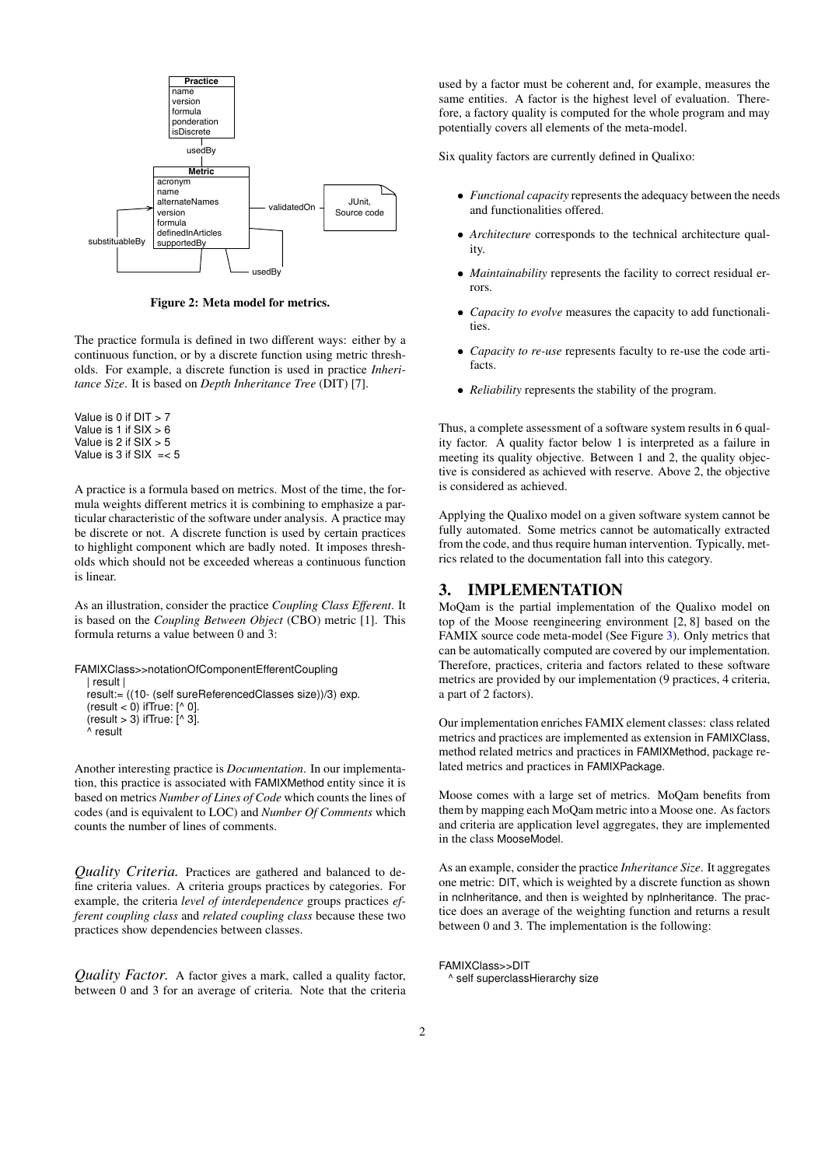

<span id="page-1-1"></span>Figure 2: Meta model for metrics.

The practice formula is defined in two different ways: either by a continuous function, or by a discrete function using metric thresholds. For example, a discrete function is used in practice *Inheritance Size*. It is based on *Depth Inheritance Tree* (DIT) [7].

Value is 0 if  $DIT > 7$ Value is 1 if  $SIX > 6$ Value is  $2$  if  $SIX > 5$ Value is  $3$  if SIX  $=< 5$ 

A practice is a formula based on metrics. Most of the time, the formula weights different metrics it is combining to emphasize a particular characteristic of the software under analysis. A practice may be discrete or not. A discrete function is used by certain practices to highlight component which are badly noted. It imposes thresholds which should not be exceeded whereas a continuous function is linear.

As an illustration, consider the practice *Coupling Class Efferent*. It is based on the *Coupling Between Object* (CBO) metric [1]. This formula returns a value between 0 and 3:

FAMIXClass>>notationOfComponentEfferentCoupling | result | result:= ((10- (self sureReferencedClasses size))/3) exp. (result  $<$  0) if True:  $[^{\wedge}$  0].  $\text{(result} > 3)$  if True:  $\left[\begin{smallmatrix} x & 3 \end{smallmatrix}\right]$ . ^ result

Another interesting practice is *Documentation*. In our implementation, this practice is associated with FAMIXMethod entity since it is based on metrics *Number of Lines of Code* which counts the lines of codes (and is equivalent to LOC) and *Number Of Comments* which counts the number of lines of comments.

*Quality Criteria.* Practices are gathered and balanced to define criteria values. A criteria groups practices by categories. For example, the criteria *level of interdependence* groups practices *efferent coupling class* and *related coupling class* because these two practices show dependencies between classes.

*Quality Factor.* A factor gives a mark, called a quality factor, between 0 and 3 for an average of criteria. Note that the criteria

used by a factor must be coherent and, for example, measures the same entities. A factor is the highest level of evaluation. Therefore, a factory quality is computed for the whole program and may potentially covers all elements of the meta-model.

Six quality factors are currently defined in Qualixo:

- *Functional capacity* represents the adequacy between the needs and functionalities offered.
- *Architecture* corresponds to the technical architecture quality.
- *Maintainability* represents the facility to correct residual errors.
- *Capacity to evolve* measures the capacity to add functionalities.
- *Capacity to re-use* represents faculty to re-use the code artifacts.
- *Reliability* represents the stability of the program.

Thus, a complete assessment of a software system results in 6 quality factor. A quality factor below 1 is interpreted as a failure in meeting its quality objective. Between 1 and 2, the quality objective is considered as achieved with reserve. Above 2, the objective is considered as achieved.

Applying the Qualixo model on a given software system cannot be fully automated. Some metrics cannot be automatically extracted from the code, and thus require human intervention. Typically, metrics related to the documentation fall into this category.

## <span id="page-1-0"></span>3. IMPLEMENTATION

MoQam is the partial implementation of the Qualixo model on top of the Moose reengineering environment [2, 8] based on the FAMIX source code meta-model (See Figure [3\)](#page-2-2). Only metrics that can be automatically computed are covered by our implementation. Therefore, practices, criteria and factors related to these software metrics are provided by our implementation (9 practices, 4 criteria, a part of 2 factors).

Our implementation enriches FAMIX element classes: class related metrics and practices are implemented as extension in FAMIXClass, method related metrics and practices in FAMIXMethod, package related metrics and practices in FAMIXPackage.

Moose comes with a large set of metrics. MoQam benefits from them by mapping each MoQam metric into a Moose one. As factors and criteria are application level aggregates, they are implemented in the class MooseModel.

As an example, consider the practice *Inheritance Size*. It aggregates one metric: DIT, which is weighted by a discrete function as shown in ncInheritance, and then is weighted by npInheritance. The practice does an average of the weighting function and returns a result between 0 and 3. The implementation is the following:

FAMIXClass>>DIT

^ self superclassHierarchy size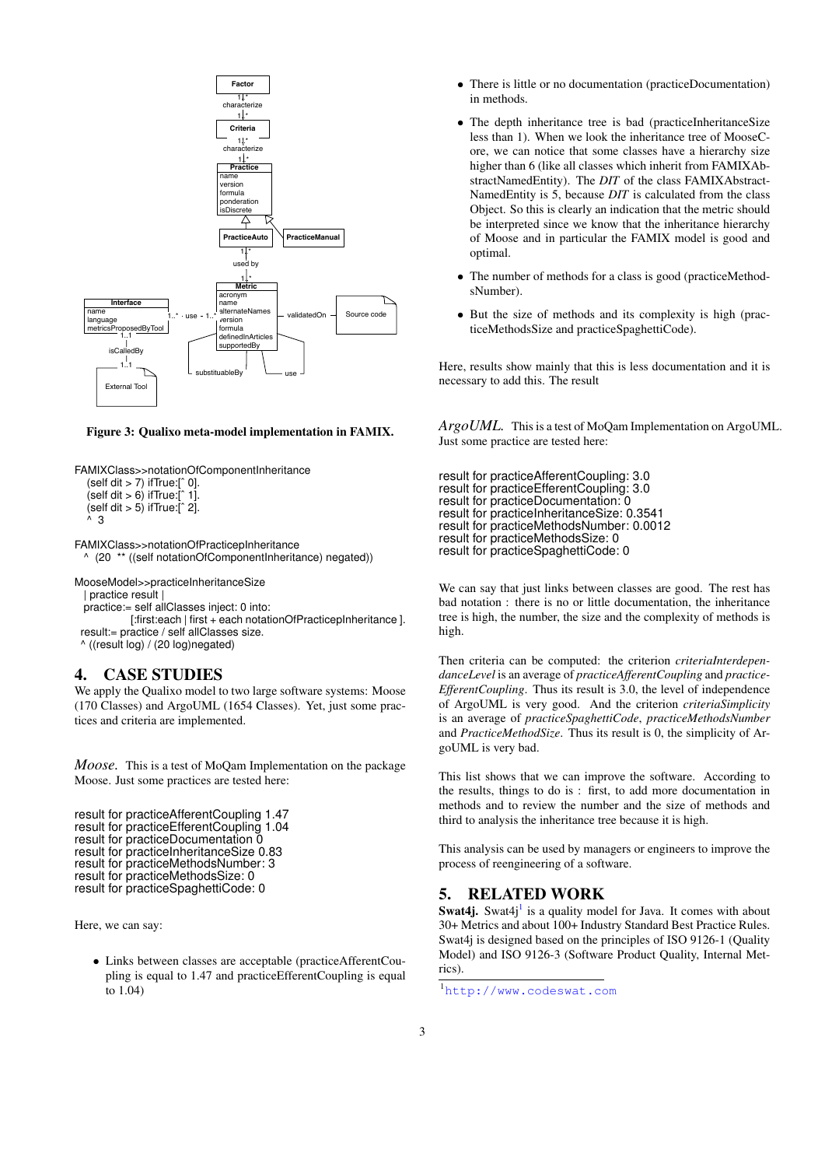

#### <span id="page-2-2"></span>Figure 3: Qualixo meta-model implementation in FAMIX.

FAMIXClass>>notationOfComponentInheritance (self dit > 7) ifTrue:[ˆ 0]. (self dit > 6) if  $True$ :[ $\hat{ }$  1].  $\text{(self dit} > 5)$  if True: $\left[\hat{ }^{6} 2\right]$ .  $\overline{\mathbf{3}}$ 

FAMIXClass>>notationOfPracticepInheritance ^ (20 \*\* ((self notationOfComponentInheritance) negated))

MooseModel>>practiceInheritanceSize

| practice result |

practice:= self allClasses inject: 0 into:

[:first:each | first + each notationOfPracticepInheritance ]. result:= practice / self allClasses size.

^ ((result log) / (20 log)negated)

## <span id="page-2-0"></span>4. CASE STUDIES

We apply the Qualixo model to two large software systems: Moose (170 Classes) and ArgoUML (1654 Classes). Yet, just some practices and criteria are implemented.

*Moose.* This is a test of MoQam Implementation on the package Moose. Just some practices are tested here:

```
result for practiceAfferentCoupling 1.47
result for practiceEfferentCoupling 1.04
result for practiceDocumentation 0
result for practiceInheritanceSize 0.83
result for practiceMethodsNumber: 3
result for practiceMethodsSize: 0
result for practiceSpaghettiCode: 0
```
Here, we can say:

• Links between classes are acceptable (practiceAfferentCoupling is equal to 1.47 and practiceEfferentCoupling is equal to 1.04)

- There is little or no documentation (practiceDocumentation) in methods.
- The depth inheritance tree is bad (practiceInheritanceSize less than 1). When we look the inheritance tree of MooseCore, we can notice that some classes have a hierarchy size higher than 6 (like all classes which inherit from FAMIXAbstractNamedEntity). The *DIT* of the class FAMIXAbstract-NamedEntity is 5, because *DIT* is calculated from the class Object. So this is clearly an indication that the metric should be interpreted since we know that the inheritance hierarchy of Moose and in particular the FAMIX model is good and optimal.
- The number of methods for a class is good (practiceMethodsNumber).
- But the size of methods and its complexity is high (practiceMethodsSize and practiceSpaghettiCode).

Here, results show mainly that this is less documentation and it is necessary to add this. The result

*ArgoUML.* This is a test of MoQam Implementation on ArgoUML. Just some practice are tested here:

result for practiceAfferentCoupling: 3.0 result for practiceEfferentCoupling: 3.0 result for practiceDocumentation: 0 result for practiceInheritanceSize: 0.3541 result for practiceMethodsNumber: 0.0012 result for practiceMethodsSize: 0 result for practiceSpaghettiCode: 0

We can say that just links between classes are good. The rest has bad notation : there is no or little documentation, the inheritance tree is high, the number, the size and the complexity of methods is high.

Then criteria can be computed: the criterion *criteriaInterdependanceLevel* is an average of *practiceAfferentCoupling* and *practice-EfferentCoupling*. Thus its result is 3.0, the level of independence of ArgoUML is very good. And the criterion *criteriaSimplicity* is an average of *practiceSpaghettiCode*, *practiceMethodsNumber* and *PracticeMethodSize*. Thus its result is 0, the simplicity of ArgoUML is very bad.

This list shows that we can improve the software. According to the results, things to do is : first, to add more documentation in methods and to review the number and the size of methods and third to analysis the inheritance tree because it is high.

This analysis can be used by managers or engineers to improve the process of reengineering of a software.

## <span id="page-2-1"></span>5. RELATED WORK

Swat4j. Swat4j<sup>[1](#page-2-3)</sup> is a quality model for Java. It comes with about 30+ Metrics and about 100+ Industry Standard Best Practice Rules. Swat4j is designed based on the principles of ISO 9126-1 (Quality Model) and ISO 9126-3 (Software Product Quality, Internal Metrics).

<span id="page-2-3"></span><sup>1</sup><http://www.codeswat.com>